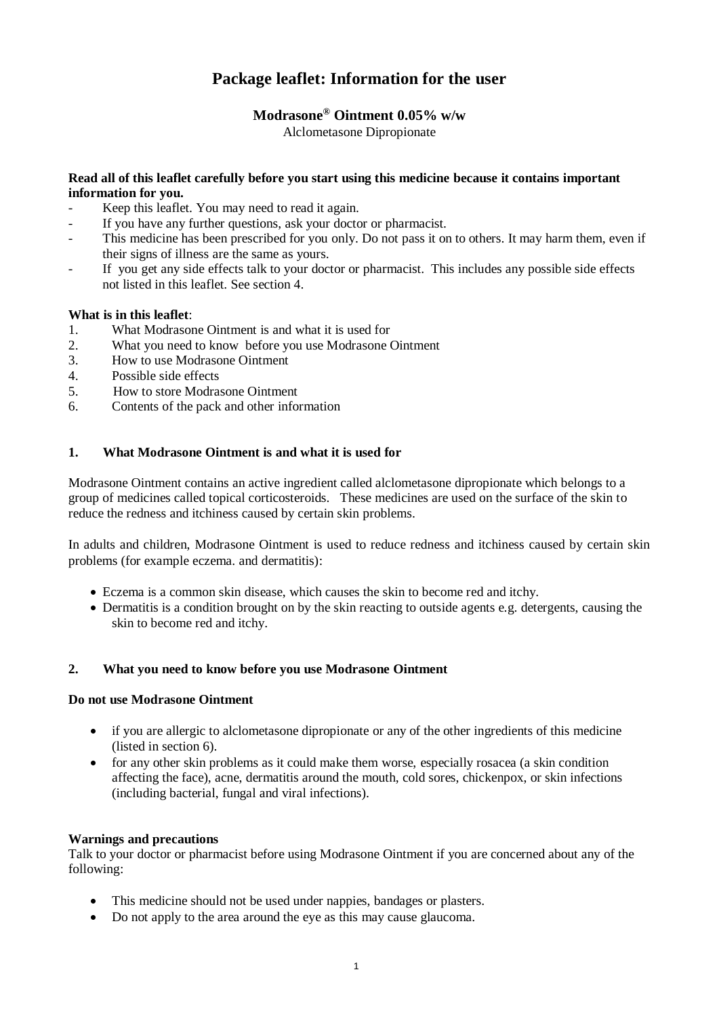# **Package leaflet: Information for the user**

# **Modrasone® Ointment 0.05% w/w**

Alclometasone Dipropionate

#### **Read all of this leaflet carefully before you start using this medicine because it contains important information for you.**

- Keep this leaflet. You may need to read it again.
- If you have any further questions, ask your doctor or pharmacist.
- This medicine has been prescribed for you only. Do not pass it on to others. It may harm them, even if their signs of illness are the same as yours.
- If you get any side effects talk to your doctor or pharmacist. This includes any possible side effects not listed in this leaflet. See section 4.

# **What is in this leaflet**:

- 1. What Modrasone Ointment is and what it is used for
- 2. What you need to know before you use Modrasone Ointment
- 3. How to use Modrasone Ointment
- 4. Possible side effects
- 5. How to store Modrasone Ointment
- 6. Contents of the pack and other information

# **1. What Modrasone Ointment is and what it is used for**

Modrasone Ointment contains an active ingredient called alclometasone dipropionate which belongs to a group of medicines called topical corticosteroids. These medicines are used on the surface of the skin to reduce the redness and itchiness caused by certain skin problems.

In adults and children, Modrasone Ointment is used to reduce redness and itchiness caused by certain skin problems (for example eczema. and dermatitis):

- Eczema is a common skin disease, which causes the skin to become red and itchy.
- Dermatitis is a condition brought on by the skin reacting to outside agents e.g. detergents, causing the skin to become red and itchy.

# **2. What you need to know before you use Modrasone Ointment**

#### **Do not use Modrasone Ointment**

- if you are allergic to alclometasone dipropionate or any of the other ingredients of this medicine (listed in section 6).
- for any other skin problems as it could make them worse, especially rosacea (a skin condition affecting the face), acne, dermatitis around the mouth, cold sores, chickenpox, or skin infections (including bacterial, fungal and viral infections).

# **Warnings and precautions**

Talk to your doctor or pharmacist before using Modrasone Ointment if you are concerned about any of the following:

- This medicine should not be used under nappies, bandages or plasters.
- Do not apply to the area around the eye as this may cause glaucoma.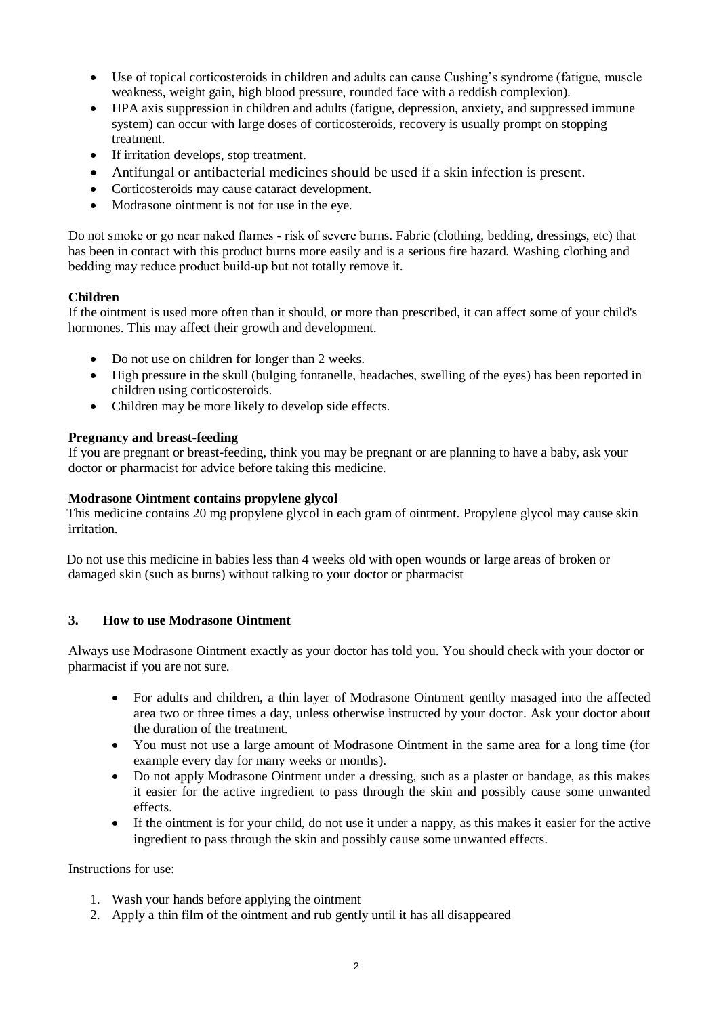- Use of topical corticosteroids in children and adults can cause Cushing's syndrome (fatigue, muscle weakness, weight gain, high blood pressure, rounded face with a reddish complexion).
- HPA axis suppression in children and adults (fatigue, depression, anxiety, and suppressed immune system) can occur with large doses of corticosteroids, recovery is usually prompt on stopping treatment.
- If irritation develops, stop treatment.
- Antifungal or antibacterial medicines should be used if a skin infection is present.
- Corticosteroids may cause cataract development.
- Modrasone ointment is not for use in the eye.

Do not smoke or go near naked flames ‐ risk of severe burns. Fabric (clothing, bedding, dressings, etc) that has been in contact with this product burns more easily and is a serious fire hazard. Washing clothing and bedding may reduce product build‐up but not totally remove it.

# **Children**

If the ointment is used more often than it should, or more than prescribed, it can affect some of your child's hormones. This may affect their growth and development.

- Do not use on children for longer than 2 weeks.
- High pressure in the skull (bulging fontanelle, headaches, swelling of the eyes) has been reported in children using corticosteroids.
- Children may be more likely to develop side effects.

#### **Pregnancy and breast-feeding**

If you are pregnant or breast-feeding, think you may be pregnant or are planning to have a baby, ask your doctor or pharmacist for advice before taking this medicine.

#### **Modrasone Ointment contains propylene glycol**

This medicine contains 20 mg propylene glycol in each gram of ointment. Propylene glycol may cause skin irritation.

Do not use this medicine in babies less than 4 weeks old with open wounds or large areas of broken or damaged skin (such as burns) without talking to your doctor or pharmacist

# **3. How to use Modrasone Ointment**

Always use Modrasone Ointment exactly as your doctor has told you. You should check with your doctor or pharmacist if you are not sure.

- For adults and children, a thin layer of Modrasone Ointment gentlty masaged into the affected area two or three times a day, unless otherwise instructed by your doctor. Ask your doctor about the duration of the treatment.
- You must not use a large amount of Modrasone Ointment in the same area for a long time (for example every day for many weeks or months).
- Do not apply Modrasone Ointment under a dressing, such as a plaster or bandage, as this makes it easier for the active ingredient to pass through the skin and possibly cause some unwanted effects.
- If the ointment is for your child, do not use it under a nappy, as this makes it easier for the active ingredient to pass through the skin and possibly cause some unwanted effects.

Instructions for use:

- 1. Wash your hands before applying the ointment
- 2. Apply a thin film of the ointment and rub gently until it has all disappeared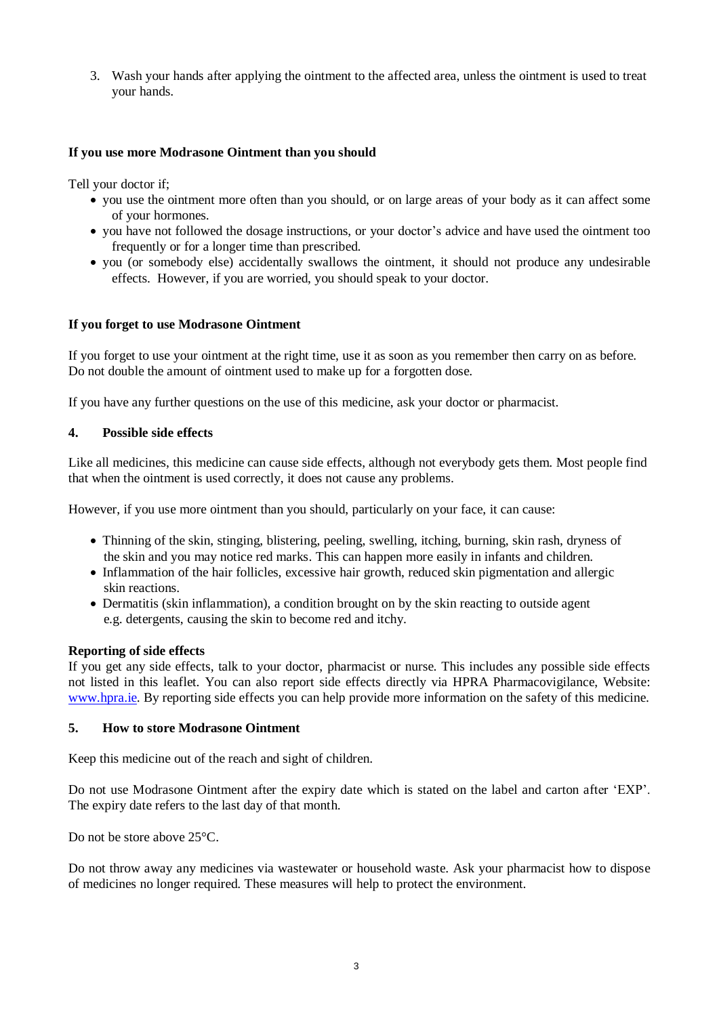3. Wash your hands after applying the ointment to the affected area, unless the ointment is used to treat your hands.

#### **If you use more Modrasone Ointment than you should**

Tell your doctor if;

- you use the ointment more often than you should, or on large areas of your body as it can affect some of your hormones.
- you have not followed the dosage instructions, or your doctor's advice and have used the ointment too frequently or for a longer time than prescribed.
- you (or somebody else) accidentally swallows the ointment, it should not produce any undesirable effects. However, if you are worried, you should speak to your doctor.

#### **If you forget to use Modrasone Ointment**

If you forget to use your ointment at the right time, use it as soon as you remember then carry on as before. Do not double the amount of ointment used to make up for a forgotten dose.

If you have any further questions on the use of this medicine, ask your doctor or pharmacist.

#### **4. Possible side effects**

Like all medicines, this medicine can cause side effects, although not everybody gets them. Most people find that when the ointment is used correctly, it does not cause any problems.

However, if you use more ointment than you should, particularly on your face, it can cause:

- Thinning of the skin, stinging, blistering, peeling, swelling, itching, burning, skin rash, dryness of the skin and you may notice red marks. This can happen more easily in infants and children.
- Inflammation of the hair follicles, excessive hair growth, reduced skin pigmentation and allergic skin reactions.
- Dermatitis (skin inflammation), a condition brought on by the skin reacting to outside agent e.g. detergents, causing the skin to become red and itchy.

#### **Reporting of side effects**

If you get any side effects, talk to your doctor, pharmacist or nurse. This includes any possible side effects not listed in this leaflet. You can also report side effects directly via HPRA Pharmacovigilance, Website: [www.hpra.ie.](http://www.hpra.ie/) By reporting side effects you can help provide more information on the safety of this medicine.

#### **5. How to store Modrasone Ointment**

Keep this medicine out of the reach and sight of children.

Do not use Modrasone Ointment after the expiry date which is stated on the label and carton after 'EXP'. The expiry date refers to the last day of that month.

Do not be store above 25°C.

Do not throw away any medicines via wastewater or household waste. Ask your pharmacist how to dispose of medicines no longer required. These measures will help to protect the environment.